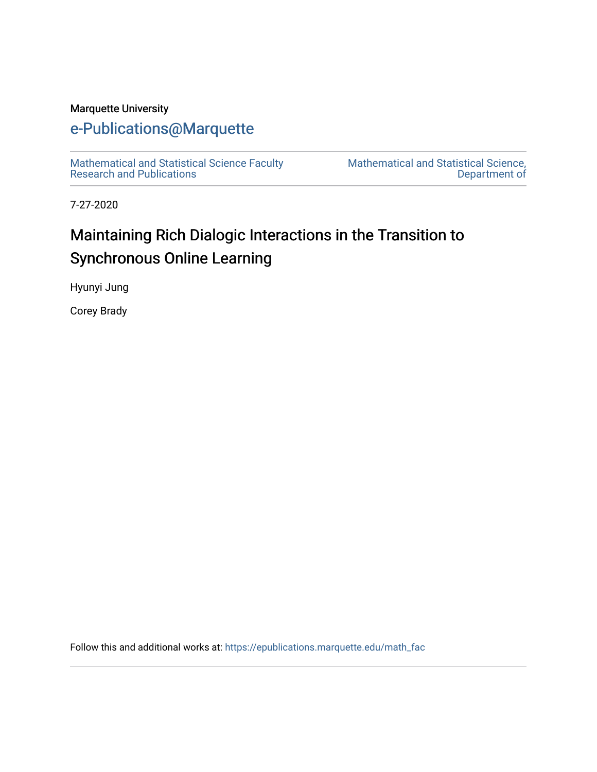#### Marquette University

# [e-Publications@Marquette](https://epublications.marquette.edu/)

[Mathematical and Statistical Science Faculty](https://epublications.marquette.edu/math_fac)  [Research and Publications](https://epublications.marquette.edu/math_fac) 

[Mathematical and Statistical Science,](https://epublications.marquette.edu/math)  [Department of](https://epublications.marquette.edu/math) 

7-27-2020

# Maintaining Rich Dialogic Interactions in the Transition to Synchronous Online Learning

Hyunyi Jung

Corey Brady

Follow this and additional works at: [https://epublications.marquette.edu/math\\_fac](https://epublications.marquette.edu/math_fac?utm_source=epublications.marquette.edu%2Fmath_fac%2F75&utm_medium=PDF&utm_campaign=PDFCoverPages)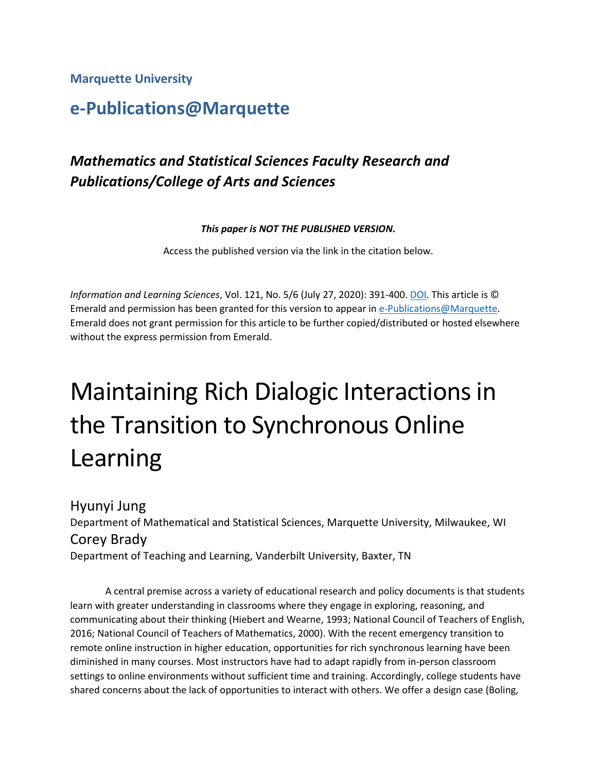**Marquette University**

# **e-Publications@Marquette**

# *Mathematics and Statistical Sciences Faculty Research and Publications/College of Arts and Sciences*

*This paper is NOT THE PUBLISHED VERSION***.** 

Access the published version via the link in the citation below.

*Information and Learning Sciences*, Vol. 121, No. 5/6 (July 27, 2020): 391-400[. DOI.](https://doi.org/10.1108/ils-04-2020-0096) This article is © Emerald and permission has been granted for this version to appear in [e-Publications@Marquette.](http://epublications.marquette.edu/) Emerald does not grant permission for this article to be further copied/distributed or hosted elsewhere without the express permission from Emerald.

# Maintaining Rich Dialogic Interactions in the Transition to Synchronous Online Learning

Hyunyi Jung Department of Mathematical and Statistical Sciences, Marquette University, Milwaukee, WI Corey Brady Department of Teaching and Learning, Vanderbilt University, Baxter, TN

A central premise across a variety of educational research and policy documents is that students learn with greater understanding in classrooms where they engage in exploring, reasoning, and communicating about their thinking (Hiebert and Wearne, 1993; National Council of Teachers of English, 2016; National Council of Teachers of Mathematics, 2000). With the recent emergency transition to remote online instruction in higher education, opportunities for rich synchronous learning have been diminished in many courses. Most instructors have had to adapt rapidly from in-person classroom settings to online environments without sufficient time and training. Accordingly, college students have shared concerns about the lack of opportunities to interact with others. We offer a design case (Boling,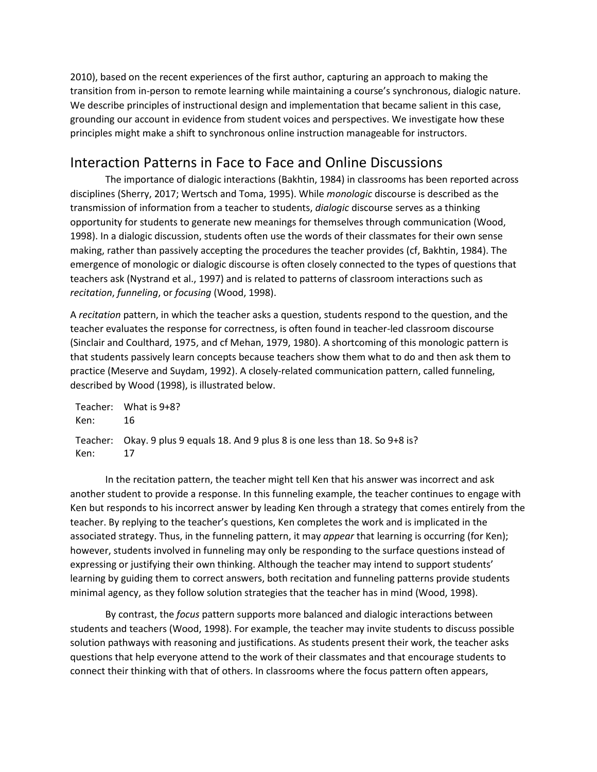2010), based on the recent experiences of the first author, capturing an approach to making the transition from in-person to remote learning while maintaining a course's synchronous, dialogic nature. We describe principles of instructional design and implementation that became salient in this case, grounding our account in evidence from student voices and perspectives. We investigate how these principles might make a shift to synchronous online instruction manageable for instructors.

# Interaction Patterns in Face to Face and Online Discussions

The importance of dialogic interactions (Bakhtin, 1984) in classrooms has been reported across disciplines (Sherry, 2017; Wertsch and Toma, 1995). While *monologic* discourse is described as the transmission of information from a teacher to students, *dialogic* discourse serves as a thinking opportunity for students to generate new meanings for themselves through communication (Wood, 1998). In a dialogic discussion, students often use the words of their classmates for their own sense making, rather than passively accepting the procedures the teacher provides (cf, Bakhtin, 1984). The emergence of monologic or dialogic discourse is often closely connected to the types of questions that teachers ask (Nystrand et al., 1997) and is related to patterns of classroom interactions such as *recitation*, *funneling*, or *focusing* (Wood, 1998).

A *recitation* pattern, in which the teacher asks a question, students respond to the question, and the teacher evaluates the response for correctness, is often found in teacher-led classroom discourse (Sinclair and Coulthard, 1975, and cf Mehan, 1979, 1980). A shortcoming of this monologic pattern is that students passively learn concepts because teachers show them what to do and then ask them to practice (Meserve and Suydam, 1992). A closely-related communication pattern, called funneling, described by Wood (1998), is illustrated below.

Teacher: What is 9+8? Ken: 16 Teacher: Okay. 9 plus 9 equals 18. And 9 plus 8 is one less than 18. So 9+8 is? Ken: 17

In the recitation pattern, the teacher might tell Ken that his answer was incorrect and ask another student to provide a response. In this funneling example, the teacher continues to engage with Ken but responds to his incorrect answer by leading Ken through a strategy that comes entirely from the teacher. By replying to the teacher's questions, Ken completes the work and is implicated in the associated strategy. Thus, in the funneling pattern, it may *appear* that learning is occurring (for Ken); however, students involved in funneling may only be responding to the surface questions instead of expressing or justifying their own thinking. Although the teacher may intend to support students' learning by guiding them to correct answers, both recitation and funneling patterns provide students minimal agency, as they follow solution strategies that the teacher has in mind (Wood, 1998).

By contrast, the *focus* pattern supports more balanced and dialogic interactions between students and teachers (Wood, 1998). For example, the teacher may invite students to discuss possible solution pathways with reasoning and justifications. As students present their work, the teacher asks questions that help everyone attend to the work of their classmates and that encourage students to connect their thinking with that of others. In classrooms where the focus pattern often appears,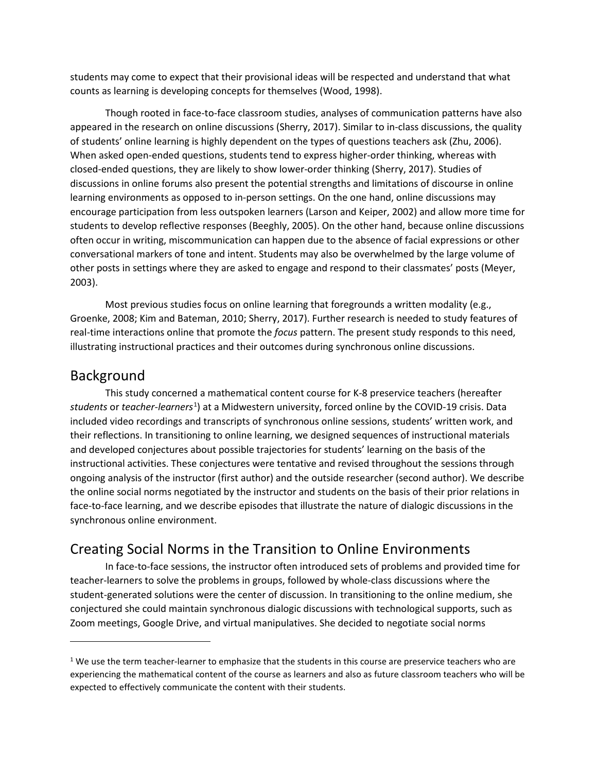students may come to expect that their provisional ideas will be respected and understand that what counts as learning is developing concepts for themselves (Wood, 1998).

Though rooted in face-to-face classroom studies, analyses of communication patterns have also appeared in the research on online discussions (Sherry, 2017). Similar to in-class discussions, the quality of students' online learning is highly dependent on the types of questions teachers ask (Zhu, 2006). When asked open-ended questions, students tend to express higher-order thinking, whereas with closed-ended questions, they are likely to show lower-order thinking (Sherry, 2017). Studies of discussions in online forums also present the potential strengths and limitations of discourse in online learning environments as opposed to in-person settings. On the one hand, online discussions may encourage participation from less outspoken learners (Larson and Keiper, 2002) and allow more time for students to develop reflective responses (Beeghly, 2005). On the other hand, because online discussions often occur in writing, miscommunication can happen due to the absence of facial expressions or other conversational markers of tone and intent. Students may also be overwhelmed by the large volume of other posts in settings where they are asked to engage and respond to their classmates' posts (Meyer, 2003).

Most previous studies focus on online learning that foregrounds a written modality (e.g., Groenke, 2008; Kim and Bateman, 2010; Sherry, 2017). Further research is needed to study features of real-time interactions online that promote the *focus* pattern. The present study responds to this need, illustrating instructional practices and their outcomes during synchronous online discussions.

#### Background

This study concerned a mathematical content course for K-8 preservice teachers (hereafter students or *teacher-learners*<sup>[1](#page-3-0)</sup>) at a Midwestern university, forced online by the COVID-19 crisis. Data included video recordings and transcripts of synchronous online sessions, students' written work, and their reflections. In transitioning to online learning, we designed sequences of instructional materials and developed conjectures about possible trajectories for students' learning on the basis of the instructional activities. These conjectures were tentative and revised throughout the sessions through ongoing analysis of the instructor (first author) and the outside researcher (second author). We describe the online social norms negotiated by the instructor and students on the basis of their prior relations in face-to-face learning, and we describe episodes that illustrate the nature of dialogic discussions in the synchronous online environment.

## Creating Social Norms in the Transition to Online Environments

In face-to-face sessions, the instructor often introduced sets of problems and provided time for teacher-learners to solve the problems in groups, followed by whole-class discussions where the student-generated solutions were the center of discussion. In transitioning to the online medium, she conjectured she could maintain synchronous dialogic discussions with technological supports, such as Zoom meetings, Google Drive, and virtual manipulatives. She decided to negotiate social norms

<span id="page-3-0"></span> $1$  We use the term teacher-learner to emphasize that the students in this course are preservice teachers who are experiencing the mathematical content of the course as learners and also as future classroom teachers who will be expected to effectively communicate the content with their students.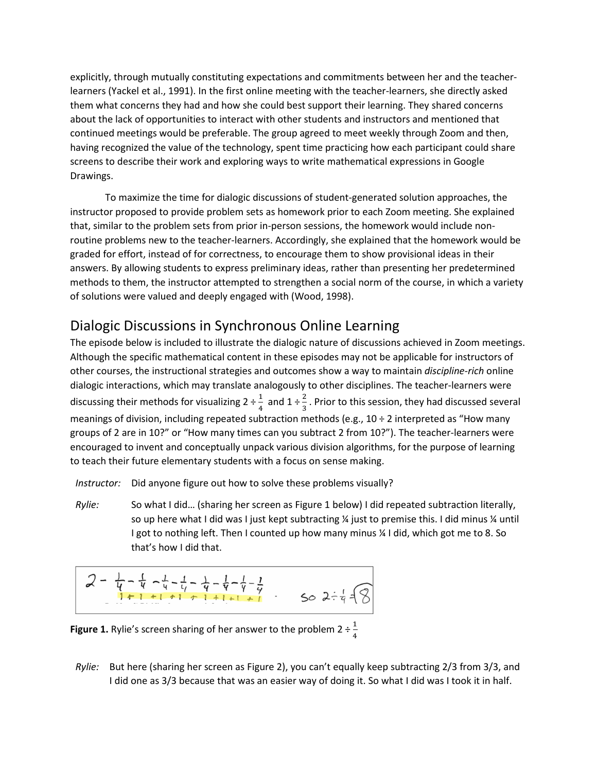explicitly, through mutually constituting expectations and commitments between her and the teacherlearners (Yackel et al., 1991). In the first online meeting with the teacher-learners, she directly asked them what concerns they had and how she could best support their learning. They shared concerns about the lack of opportunities to interact with other students and instructors and mentioned that continued meetings would be preferable. The group agreed to meet weekly through Zoom and then, having recognized the value of the technology, spent time practicing how each participant could share screens to describe their work and exploring ways to write mathematical expressions in Google Drawings.

To maximize the time for dialogic discussions of student-generated solution approaches, the instructor proposed to provide problem sets as homework prior to each Zoom meeting. She explained that, similar to the problem sets from prior in-person sessions, the homework would include nonroutine problems new to the teacher-learners. Accordingly, she explained that the homework would be graded for effort, instead of for correctness, to encourage them to show provisional ideas in their answers. By allowing students to express preliminary ideas, rather than presenting her predetermined methods to them, the instructor attempted to strengthen a social norm of the course, in which a variety of solutions were valued and deeply engaged with (Wood, 1998).

# Dialogic Discussions in Synchronous Online Learning

The episode below is included to illustrate the dialogic nature of discussions achieved in Zoom meetings. Although the specific mathematical content in these episodes may not be applicable for instructors of other courses, the instructional strategies and outcomes show a way to maintain *discipline-rich* online dialogic interactions, which may translate analogously to other disciplines. The teacher-learners were discussing their methods for visualizing  $2 \div \frac{1}{4}$  and  $1 \div \frac{2}{3}$ . Prior to this session, they had discussed several meanings of division, including repeated subtraction methods (e.g.,  $10 \div 2$  interpreted as "How many groups of 2 are in 10?" or "How many times can you subtract 2 from 10?"). The teacher-learners were encouraged to invent and conceptually unpack various division algorithms, for the purpose of learning to teach their future elementary students with a focus on sense making.

*Instructor:* Did anyone figure out how to solve these problems visually?

*Rylie:* So what I did… (sharing her screen as Figure 1 below) I did repeated subtraction literally, so up here what I did was I just kept subtracting  $\frac{1}{4}$  just to premise this. I did minus  $\frac{1}{4}$  until I got to nothing left. Then I counted up how many minus ¼ I did, which got me to 8. So that's how I did that.

$$
2 - \frac{1}{4} - \frac{1}{4} - \frac{1}{4} - \frac{1}{4} - \frac{1}{4} - \frac{1}{4} - \frac{1}{4} - \frac{1}{4} - \frac{1}{4}
$$
  
So  $2 - \frac{1}{4} = \sqrt{3}$ 

**Figure 1.** Rylie's screen sharing of her answer to the problem  $2 \div \frac{1}{4}$ 

*Rylie:* But here (sharing her screen as Figure 2), you can't equally keep subtracting 2/3 from 3/3, and I did one as 3/3 because that was an easier way of doing it. So what I did was I took it in half.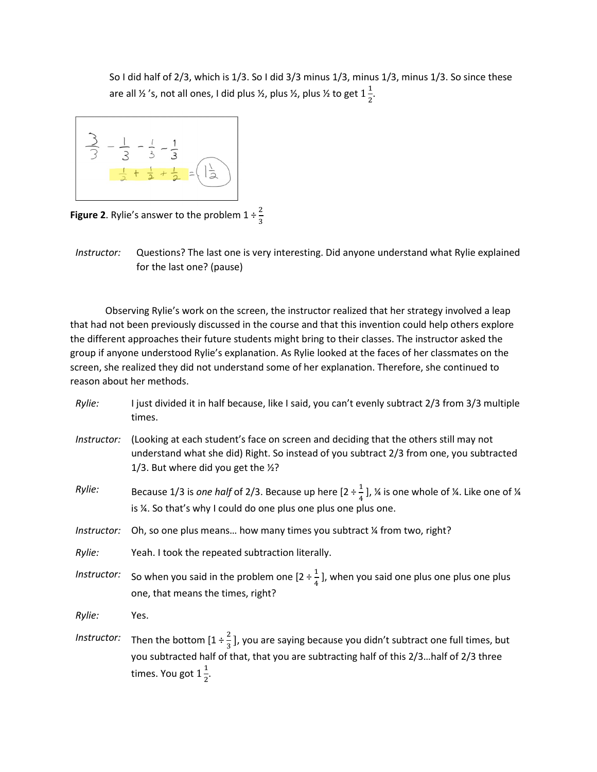So I did half of 2/3, which is 1/3. So I did 3/3 minus 1/3, minus 1/3, minus 1/3. So since these are all ½ 's, not all ones, I did plus ½, plus ½, plus ½ to get  $1\frac{1}{2}$ .



**Figure 2**. Rylie's answer to the problem  $1 \div \frac{2}{3}$ 3

*Instructor:* Questions? The last one is very interesting. Did anyone understand what Rylie explained for the last one? (pause)

Observing Rylie's work on the screen, the instructor realized that her strategy involved a leap that had not been previously discussed in the course and that this invention could help others explore the different approaches their future students might bring to their classes. The instructor asked the group if anyone understood Rylie's explanation. As Rylie looked at the faces of her classmates on the screen, she realized they did not understand some of her explanation. Therefore, she continued to reason about her methods.

| Rylie:      | I just divided it in half because, like I said, you can't evenly subtract 2/3 from 3/3 multiple<br>times.                                                                                                                             |
|-------------|---------------------------------------------------------------------------------------------------------------------------------------------------------------------------------------------------------------------------------------|
| Instructor: | (Looking at each student's face on screen and deciding that the others still may not<br>understand what she did) Right. So instead of you subtract 2/3 from one, you subtracted<br>1/3. But where did you get the 1/2?                |
| Rylie:      | Because 1/3 is one half of 2/3. Because up here $[2 \div \frac{1}{4}]$ , ¼ is one whole of ¼. Like one of ¼<br>is ¼. So that's why I could do one plus one plus one plus one.                                                         |
| Instructor: | Oh, so one plus means how many times you subtract % from two, right?                                                                                                                                                                  |
| Rylie:      | Yeah. I took the repeated subtraction literally.                                                                                                                                                                                      |
| Instructor: | So when you said in the problem one [2 $\div \frac{1}{4}$ ], when you said one plus one plus one plus<br>one, that means the times, right?                                                                                            |
| Rylie:      | Yes.                                                                                                                                                                                                                                  |
| Instructor: | Then the bottom $[1 \div \frac{2}{3}]$ , you are saying because you didn't subtract one full times, but<br>you subtracted half of that, that you are subtracting half of this 2/3half of 2/3 three<br>times. You got $1\frac{1}{2}$ . |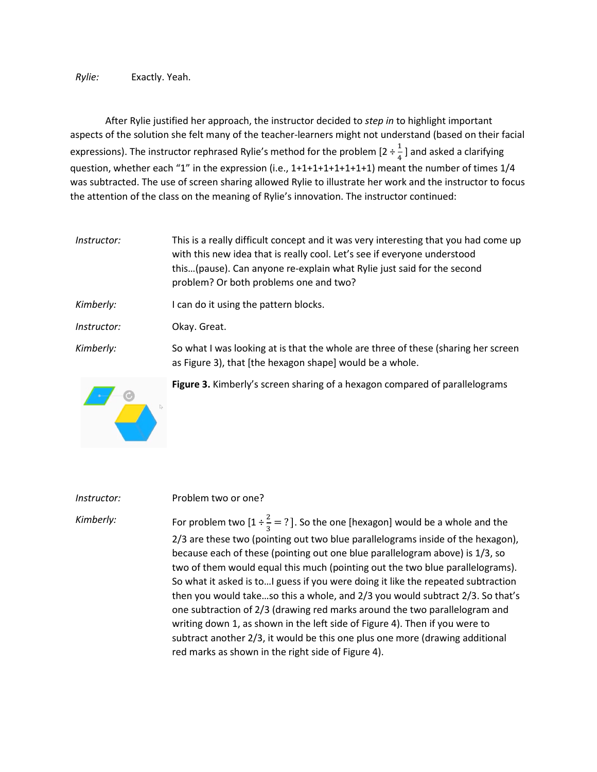*Rylie:* Exactly. Yeah.

After Rylie justified her approach, the instructor decided to *step in* to highlight important aspects of the solution she felt many of the teacher-learners might not understand (based on their facial expressions). The instructor rephrased Rylie's method for the problem  $[2 \div \frac{1}{4}]$  and asked a clarifying question, whether each "1" in the expression (i.e., 1+1+1+1+1+1+1+1) meant the number of times 1/4 was subtracted. The use of screen sharing allowed Rylie to illustrate her work and the instructor to focus the attention of the class on the meaning of Rylie's innovation. The instructor continued:

*Instructor:* This is a really difficult concept and it was very interesting that you had come up with this new idea that is really cool. Let's see if everyone understood this…(pause). Can anyone re-explain what Rylie just said for the second problem? Or both problems one and two? *Kimberly:* I can do it using the pattern blocks. *Instructor:* Okay. Great. *Kimberly:* So what I was looking at is that the whole are three of these (sharing her screen as Figure 3), that [the hexagon shape] would be a whole.



**Figure 3.** Kimberly's screen sharing of a hexagon compared of parallelograms

*Instructor:* Problem two or one? Kimberly: For problem two  $[1 \div \frac{2}{3} = ?]$ . So the one [hexagon] would be a whole and the 2/3 are these two (pointing out two blue parallelograms inside of the hexagon), because each of these (pointing out one blue parallelogram above) is 1/3, so two of them would equal this much (pointing out the two blue parallelograms). So what it asked is to…I guess if you were doing it like the repeated subtraction then you would take…so this a whole, and 2/3 you would subtract 2/3. So that's one subtraction of 2/3 (drawing red marks around the two parallelogram and writing down 1, as shown in the left side of Figure 4). Then if you were to subtract another 2/3, it would be this one plus one more (drawing additional red marks as shown in the right side of Figure 4).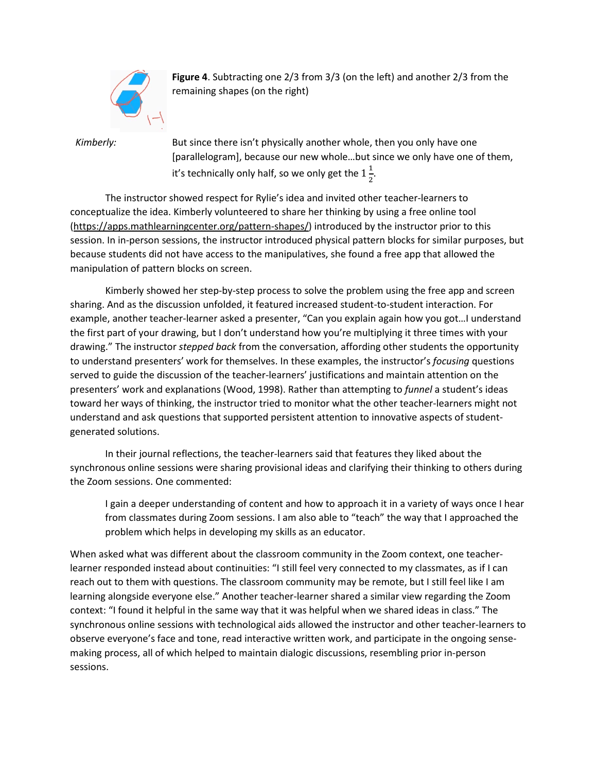

**Figure 4**. Subtracting one 2/3 from 3/3 (on the left) and another 2/3 from the remaining shapes (on the right)

*Kimberly:* But since there isn't physically another whole, then you only have one [parallelogram], because our new whole...but since we only have one of them, it's technically only half, so we only get the  $1\frac{1}{2}$ . 2

The instructor showed respect for Rylie's idea and invited other teacher-learners to conceptualize the idea. Kimberly volunteered to share her thinking by using a free online tool [\(https://apps.mathlearningcenter.org/pattern-shapes/\)](https://apps.mathlearningcenter.org/pattern-shapes/) introduced by the instructor prior to this session. In in-person sessions, the instructor introduced physical pattern blocks for similar purposes, but because students did not have access to the manipulatives, she found a free app that allowed the manipulation of pattern blocks on screen.

Kimberly showed her step-by-step process to solve the problem using the free app and screen sharing. And as the discussion unfolded, it featured increased student-to-student interaction. For example, another teacher-learner asked a presenter, "Can you explain again how you got…I understand the first part of your drawing, but I don't understand how you're multiplying it three times with your drawing." The instructor *stepped back* from the conversation, affording other students the opportunity to understand presenters' work for themselves. In these examples, the instructor's *focusing* questions served to guide the discussion of the teacher-learners' justifications and maintain attention on the presenters' work and explanations (Wood, 1998). Rather than attempting to *funnel* a student's ideas toward her ways of thinking, the instructor tried to monitor what the other teacher-learners might not understand and ask questions that supported persistent attention to innovative aspects of studentgenerated solutions.

In their journal reflections, the teacher-learners said that features they liked about the synchronous online sessions were sharing provisional ideas and clarifying their thinking to others during the Zoom sessions. One commented:

I gain a deeper understanding of content and how to approach it in a variety of ways once I hear from classmates during Zoom sessions. I am also able to "teach" the way that I approached the problem which helps in developing my skills as an educator.

When asked what was different about the classroom community in the Zoom context, one teacherlearner responded instead about continuities: "I still feel very connected to my classmates, as if I can reach out to them with questions. The classroom community may be remote, but I still feel like I am learning alongside everyone else." Another teacher-learner shared a similar view regarding the Zoom context: "I found it helpful in the same way that it was helpful when we shared ideas in class." The synchronous online sessions with technological aids allowed the instructor and other teacher-learners to observe everyone's face and tone, read interactive written work, and participate in the ongoing sensemaking process, all of which helped to maintain dialogic discussions, resembling prior in-person sessions.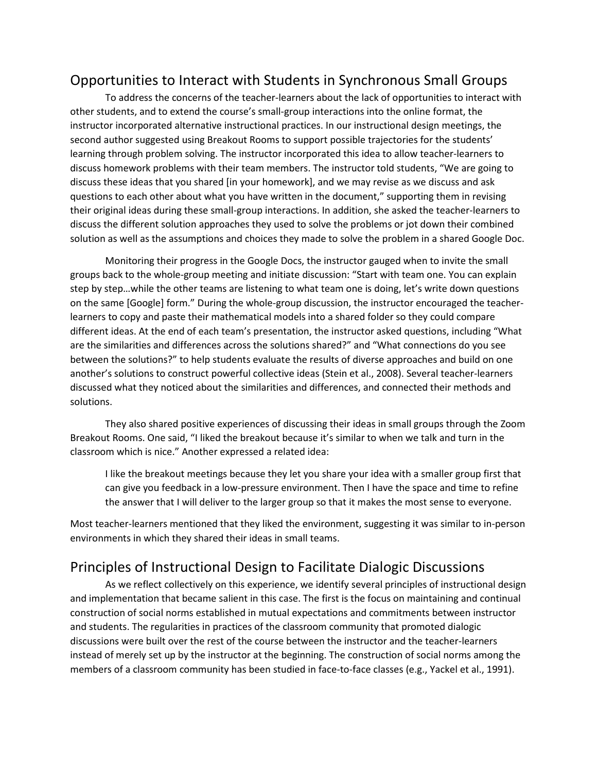## Opportunities to Interact with Students in Synchronous Small Groups

To address the concerns of the teacher-learners about the lack of opportunities to interact with other students, and to extend the course's small-group interactions into the online format, the instructor incorporated alternative instructional practices. In our instructional design meetings, the second author suggested using Breakout Rooms to support possible trajectories for the students' learning through problem solving. The instructor incorporated this idea to allow teacher-learners to discuss homework problems with their team members. The instructor told students, "We are going to discuss these ideas that you shared [in your homework], and we may revise as we discuss and ask questions to each other about what you have written in the document," supporting them in revising their original ideas during these small-group interactions. In addition, she asked the teacher-learners to discuss the different solution approaches they used to solve the problems or jot down their combined solution as well as the assumptions and choices they made to solve the problem in a shared Google Doc.

Monitoring their progress in the Google Docs, the instructor gauged when to invite the small groups back to the whole-group meeting and initiate discussion: "Start with team one. You can explain step by step…while the other teams are listening to what team one is doing, let's write down questions on the same [Google] form." During the whole-group discussion, the instructor encouraged the teacherlearners to copy and paste their mathematical models into a shared folder so they could compare different ideas. At the end of each team's presentation, the instructor asked questions, including "What are the similarities and differences across the solutions shared?" and "What connections do you see between the solutions?" to help students evaluate the results of diverse approaches and build on one another's solutions to construct powerful collective ideas (Stein et al., 2008). Several teacher-learners discussed what they noticed about the similarities and differences, and connected their methods and solutions.

They also shared positive experiences of discussing their ideas in small groups through the Zoom Breakout Rooms. One said, "I liked the breakout because it's similar to when we talk and turn in the classroom which is nice." Another expressed a related idea:

I like the breakout meetings because they let you share your idea with a smaller group first that can give you feedback in a low-pressure environment. Then I have the space and time to refine the answer that I will deliver to the larger group so that it makes the most sense to everyone.

Most teacher-learners mentioned that they liked the environment, suggesting it was similar to in-person environments in which they shared their ideas in small teams.

## Principles of Instructional Design to Facilitate Dialogic Discussions

As we reflect collectively on this experience, we identify several principles of instructional design and implementation that became salient in this case. The first is the focus on maintaining and continual construction of social norms established in mutual expectations and commitments between instructor and students. The regularities in practices of the classroom community that promoted dialogic discussions were built over the rest of the course between the instructor and the teacher-learners instead of merely set up by the instructor at the beginning. The construction of social norms among the members of a classroom community has been studied in face-to-face classes (e.g., Yackel et al., 1991).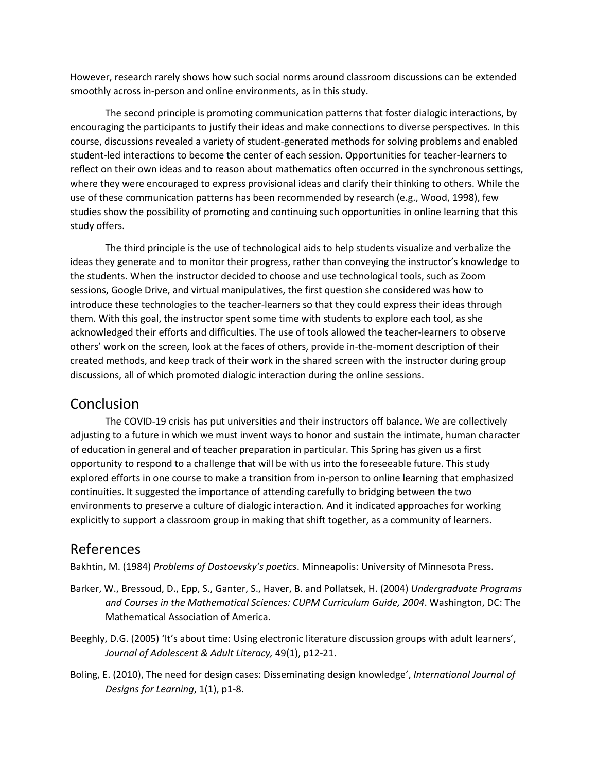However, research rarely shows how such social norms around classroom discussions can be extended smoothly across in-person and online environments, as in this study.

The second principle is promoting communication patterns that foster dialogic interactions, by encouraging the participants to justify their ideas and make connections to diverse perspectives. In this course, discussions revealed a variety of student-generated methods for solving problems and enabled student-led interactions to become the center of each session. Opportunities for teacher-learners to reflect on their own ideas and to reason about mathematics often occurred in the synchronous settings, where they were encouraged to express provisional ideas and clarify their thinking to others. While the use of these communication patterns has been recommended by research (e.g., Wood, 1998), few studies show the possibility of promoting and continuing such opportunities in online learning that this study offers.

The third principle is the use of technological aids to help students visualize and verbalize the ideas they generate and to monitor their progress, rather than conveying the instructor's knowledge to the students. When the instructor decided to choose and use technological tools, such as Zoom sessions, Google Drive, and virtual manipulatives, the first question she considered was how to introduce these technologies to the teacher-learners so that they could express their ideas through them. With this goal, the instructor spent some time with students to explore each tool, as she acknowledged their efforts and difficulties. The use of tools allowed the teacher-learners to observe others' work on the screen, look at the faces of others, provide in-the-moment description of their created methods, and keep track of their work in the shared screen with the instructor during group discussions, all of which promoted dialogic interaction during the online sessions.

## Conclusion

The COVID-19 crisis has put universities and their instructors off balance. We are collectively adjusting to a future in which we must invent ways to honor and sustain the intimate, human character of education in general and of teacher preparation in particular. This Spring has given us a first opportunity to respond to a challenge that will be with us into the foreseeable future. This study explored efforts in one course to make a transition from in-person to online learning that emphasized continuities. It suggested the importance of attending carefully to bridging between the two environments to preserve a culture of dialogic interaction. And it indicated approaches for working explicitly to support a classroom group in making that shift together, as a community of learners.

## References

Bakhtin, M. (1984) *Problems of Dostoevsky's poetics*. Minneapolis: University of Minnesota Press.

- Barker, W., Bressoud, D., Epp, S., Ganter, S., Haver, B. and Pollatsek, H. (2004) *Undergraduate Programs and Courses in the Mathematical Sciences: CUPM Curriculum Guide, 2004*. Washington, DC: The Mathematical Association of America.
- Beeghly, D.G. (2005) 'It's about time: Using electronic literature discussion groups with adult learners', *Journal of Adolescent & Adult Literacy,* 49(1), p12-21.
- Boling, E. (2010), The need for design cases: Disseminating design knowledge', *International Journal of Designs for Learning*, 1(1), p1-8.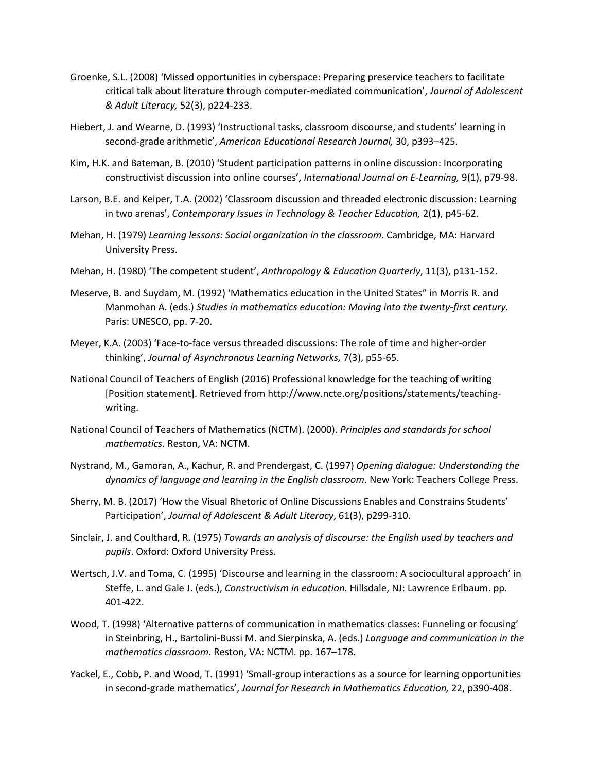- Groenke, S.L. (2008) 'Missed opportunities in cyberspace: Preparing preservice teachers to facilitate critical talk about literature through computer-mediated communication', *Journal of Adolescent & Adult Literacy,* 52(3), p224-233.
- Hiebert, J. and Wearne, D. (1993) 'Instructional tasks, classroom discourse, and students' learning in second-grade arithmetic', *American Educational Research Journal,* 30, p393–425.
- Kim, H.K. and Bateman, B. (2010) 'Student participation patterns in online discussion: Incorporating constructivist discussion into online courses', *International Journal on E-Learning,* 9(1), p79-98.
- Larson, B.E. and Keiper, T.A. (2002) 'Classroom discussion and threaded electronic discussion: Learning in two arenas', *Contemporary Issues in Technology & Teacher Education*, 2(1), p45-62.
- Mehan, H. (1979) *Learning lessons: Social organization in the classroom*. Cambridge, MA: Harvard University Press.
- Mehan, H. (1980) 'The competent student', *Anthropology & Education Quarterly*, 11(3), p131-152.
- Meserve, B. and Suydam, M. (1992) 'Mathematics education in the United States" in Morris R. and Manmohan A. (eds.) *Studies in mathematics education: Moving into the twenty-first century.* Paris: UNESCO, pp. 7-20.
- Meyer, K.A. (2003) 'Face-to-face versus threaded discussions: The role of time and higher-order thinking', *Journal of Asynchronous Learning Networks,* 7(3), p55-65.
- National Council of Teachers of English (2016) Professional knowledge for the teaching of writing [Position statement]. Retrieved from http://www.ncte.org/positions/statements/teachingwriting.
- National Council of Teachers of Mathematics (NCTM). (2000). *Principles and standards for school mathematics*. Reston, VA: NCTM.
- Nystrand, M., Gamoran, A., Kachur, R. and Prendergast, C. (1997) *Opening dialogue: Understanding the dynamics of language and learning in the English classroom*. New York: Teachers College Press.
- Sherry, M. B. (2017) 'How the Visual Rhetoric of Online Discussions Enables and Constrains Students' Participation', *Journal of Adolescent & Adult Literacy*, 61(3), p299-310.
- Sinclair, J. and Coulthard, R. (1975) *Towards an analysis of discourse: the English used by teachers and pupils*. Oxford: Oxford University Press.
- Wertsch, J.V. and Toma, C. (1995) 'Discourse and learning in the classroom: A sociocultural approach' in Steffe, L. and Gale J. (eds.), *Constructivism in education.* Hillsdale, NJ: Lawrence Erlbaum. pp. 401-422.
- Wood, T. (1998) 'Alternative patterns of communication in mathematics classes: Funneling or focusing' in Steinbring, H., Bartolini-Bussi M. and Sierpinska, A. (eds.) *Language and communication in the mathematics classroom.* Reston, VA: NCTM. pp. 167–178.
- Yackel, E., Cobb, P. and Wood, T. (1991) 'Small-group interactions as a source for learning opportunities in second-grade mathematics', *Journal for Research in Mathematics Education,* 22, p390-408.